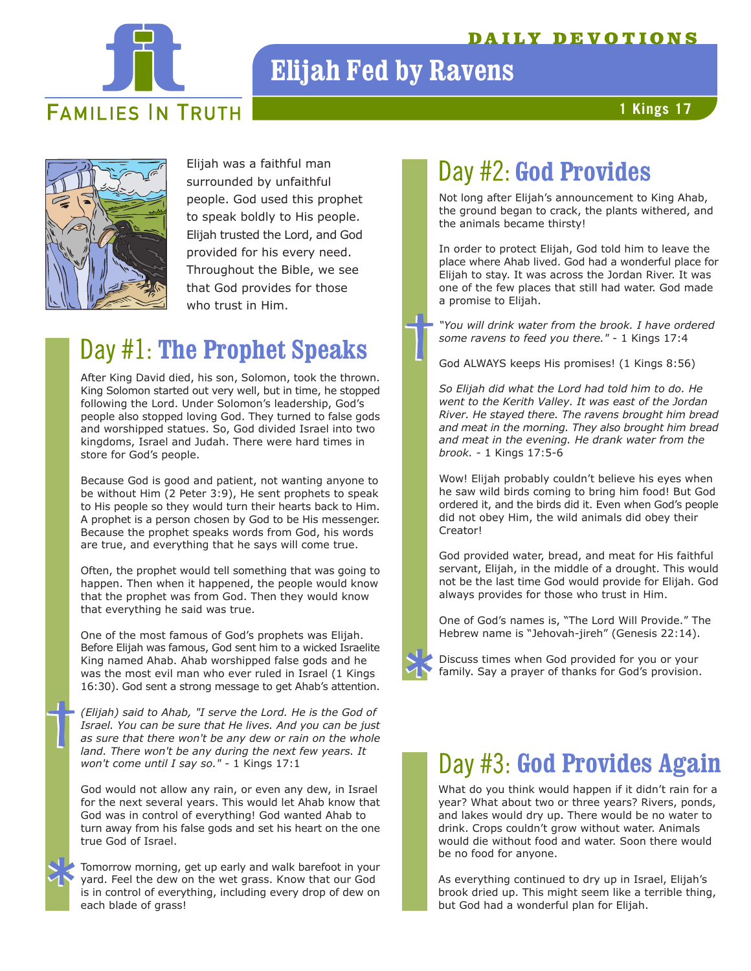### **AILY DEVOTIONS**



# **Elijah Fed by Ravens**

**1 Kings 17**



Elijah was a faithful man surrounded by unfaithful people. God used this prophet to speak boldly to His people. Elijah trusted the Lord, and God provided for his every need. Throughout the Bible, we see that God provides for those who trust in Him.

# Day #1: The Prophet Speaks

After King David died, his son, Solomon, took the thrown. King Solomon started out very well, but in time, he stopped following the Lord. Under Solomon's leadership, God's people also stopped loving God. They turned to false gods and worshipped statues. So, God divided Israel into two kingdoms, Israel and Judah. There were hard times in store for God's people.

Because God is good and patient, not wanting anyone to be without Him (2 Peter 3:9), He sent prophets to speak to His people so they would turn their hearts back to Him. A prophet is a person chosen by God to be His messenger. Because the prophet speaks words from God, his words are true, and everything that he says will come true.

Often, the prophet would tell something that was going to happen. Then when it happened, the people would know that the prophet was from God. Then they would know that everything he said was true.

One of the most famous of God's prophets was Elijah. Before Elijah was famous, God sent him to a wicked Israelite King named Ahab. Ahab worshipped false gods and he was the most evil man who ever ruled in Israel (1 Kings 16:30). God sent a strong message to get Ahab's attention.

*(Elijah) said to Ahab, "I serve the Lord. He is the God of Israel. You can be sure that He lives. And you can be just as sure that there won't be any dew or rain on the whole land. There won't be any during the next few years. It won't come until I say so." -* 1 Kings 17:1

God would not allow any rain, or even any dew, in Israel for the next several years. This would let Ahab know that God was in control of everything! God wanted Ahab to turn away from his false gods and set his heart on the one true God of Israel.

Tomorrow morning, get up early and walk barefoot in your yard. Feel the dew on the wet grass. Know that our God is in control of everything, including every drop of dew on each blade of grass!

# Day #2: God Provides

Not long after Elijah's announcement to King Ahab, the ground began to crack, the plants withered, and the animals became thirsty!

In order to protect Elijah, God told him to leave the place where Ahab lived. God had a wonderful place for Elijah to stay. It was across the Jordan River. It was one of the few places that still had water. God made a promise to Elijah.

*"You will drink water from the brook. I have ordered some ravens to feed you there."* - 1 Kings 17:4

God ALWAYS keeps His promises! (1 Kings 8:56)

*So Elijah did what the Lord had told him to do. He went to the Kerith Valley. It was east of the Jordan River. He stayed there. The ravens brought him bread and meat in the morning. They also brought him bread and meat in the evening. He drank water from the brook.* - 1 Kings 17:5-6

Wow! Elijah probably couldn't believe his eyes when he saw wild birds coming to bring him food! But God ordered it, and the birds did it. Even when God's people did not obey Him, the wild animals did obey their Creator!

God provided water, bread, and meat for His faithful servant, Elijah, in the middle of a drought. This would not be the last time God would provide for Elijah. God always provides for those who trust in Him.

One of God's names is, "The Lord Will Provide." The Hebrew name is "Jehovah-jireh" (Genesis 22:14).

Discuss times when God provided for you or your family. Say a prayer of thanks for God's provision.

## Day #3: God Provides Again

What do you think would happen if it didn't rain for a year? What about two or three years? Rivers, ponds, and lakes would dry up. There would be no water to drink. Crops couldn't grow without water. Animals would die without food and water. Soon there would be no food for anyone.

As everything continued to dry up in Israel, Elijah's brook dried up. This might seem like a terrible thing, but God had a wonderful plan for Elijah.